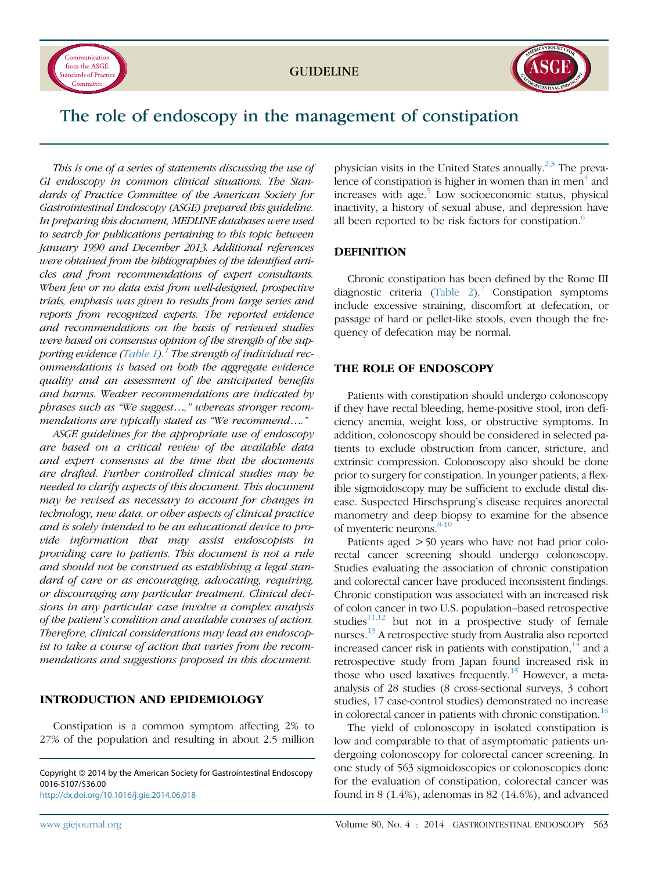



# The role of endoscopy in the management of constipation

This is one of a series of statements discussing the use of GI endoscopy in common clinical situations. The Standards of Practice Committee of the American Society for Gastrointestinal Endoscopy (ASGE) prepared this guideline. In preparing this document, MEDLINE databases were used to search for publications pertaining to this topic between January 1990 and December 2013. Additional references were obtained from the bibliographies of the identified articles and from recommendations of expert consultants. When few or no data exist from well-designed, prospective trials, emphasis was given to results from large series and reports from recognized experts. The reported evidence and recommendations on the basis of reviewed studies were based on consensus opinion of the strength of the sup-porting evidence [\(Table 1\)](#page-1-0).<sup>[1](#page-2-0)</sup> The strength of individual recommendations is based on both the aggregate evidence quality and an assessment of the anticipated benefits and harms. Weaker recommendations are indicated by phrases such as "We suggest...," whereas stronger recommendations are typically stated as "We recommend...."

ASGE guidelines for the appropriate use of endoscopy are based on a critical review of the available data and expert consensus at the time that the documents are drafted. Further controlled clinical studies may be needed to clarify aspects of this document. This document may be revised as necessary to account for changes in technology, new data, or other aspects of clinical practice and is solely intended to be an educational device to provide information that may assist endoscopists in providing care to patients. This document is not a rule and should not be construed as establishing a legal standard of care or as encouraging, advocating, requiring, or discouraging any particular treatment. Clinical decisions in any particular case involve a complex analysis of the patient's condition and available courses of action. Therefore, clinical considerations may lead an endoscopist to take a course of action that varies from the recommendations and suggestions proposed in this document.

## INTRODUCTION AND EPIDEMIOLOGY

Constipation is a common symptom affecting 2% to 27% of the population and resulting in about 2.5 million

Copyright © 2014 by the American Society for Gastrointestinal Endoscopy 0016-5107/\$36.00 <http://dx.doi.org/10.1016/j.gie.2014.06.018>

physician visits in the United States annually.<sup>[2,3](#page-2-0)</sup> The prevalence of constipation is higher in women than in men $<sup>4</sup>$  $<sup>4</sup>$  $<sup>4</sup>$  and</sup> increases with  $age.5$  $age.5$  Low socioeconomic status, physical inactivity, a history of sexual abuse, and depression have all been reported to be risk factors for constipation.<sup>[6](#page-2-0)</sup>

# **DEFINITION**

Chronic constipation has been defined by the Rome III diagnostic criteria [\(Table 2\)](#page-1-0).<sup>[7](#page-2-0)</sup> Constipation symptoms include excessive straining, discomfort at defecation, or passage of hard or pellet-like stools, even though the frequency of defecation may be normal.

## THE ROLE OF ENDOSCOPY

Patients with constipation should undergo colonoscopy if they have rectal bleeding, heme-positive stool, iron deficiency anemia, weight loss, or obstructive symptoms. In addition, colonoscopy should be considered in selected patients to exclude obstruction from cancer, stricture, and extrinsic compression. Colonoscopy also should be done prior to surgery for constipation. In younger patients, a flexible sigmoidoscopy may be sufficient to exclude distal disease. Suspected Hirschsprung's disease requires anorectal manometry and deep biopsy to examine for the absence of myenteric neurons.<sup>8-10</sup>

Patients aged  $>50$  years who have not had prior colorectal cancer screening should undergo colonoscopy. Studies evaluating the association of chronic constipation and colorectal cancer have produced inconsistent findings. Chronic constipation was associated with an increased risk of colon cancer in two U.S. population–based retrospective studies $11,12$  but not in a prospective study of female nurses[.13](#page-2-0) A retrospective study from Australia also reported increased cancer risk in patients with constipation,  $14$  and a retrospective study from Japan found increased risk in those who used laxatives frequently.<sup>[15](#page-2-0)</sup> However, a metaanalysis of 28 studies (8 cross-sectional surveys, 3 cohort studies, 17 case-control studies) demonstrated no increase in colorectal cancer in patients with chronic constipation.<sup>[16](#page-2-0)</sup>

The yield of colonoscopy in isolated constipation is low and comparable to that of asymptomatic patients undergoing colonoscopy for colorectal cancer screening. In one study of 563 sigmoidoscopies or colonoscopies done for the evaluation of constipation, colorectal cancer was found in 8 (1.4%), adenomas in 82 (14.6%), and advanced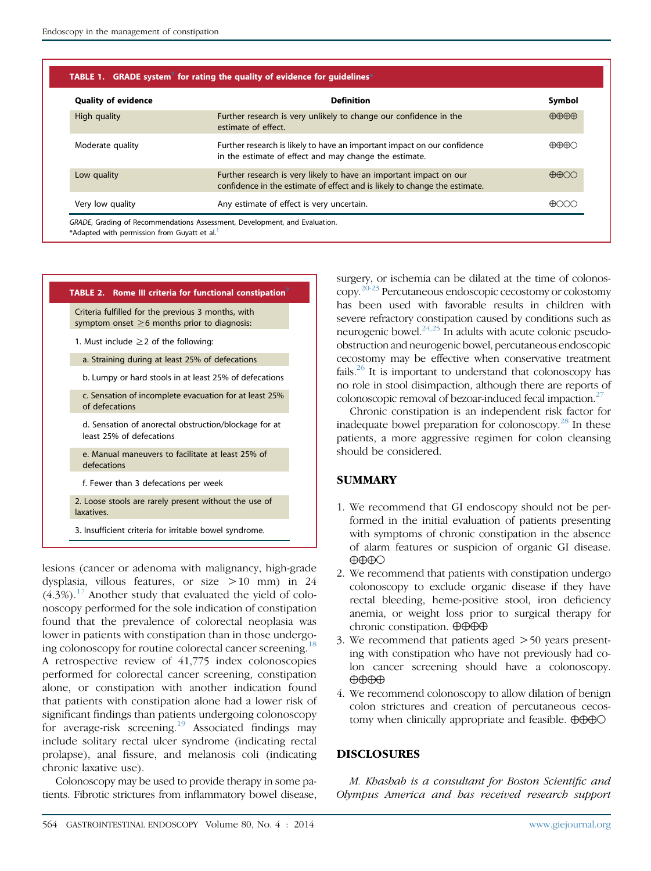<span id="page-1-0"></span>

| <b>Quality of evidence</b> | <b>Definition</b>                                                                                                                                | Symbol                 |
|----------------------------|--------------------------------------------------------------------------------------------------------------------------------------------------|------------------------|
| High quality               | Further research is very unlikely to change our confidence in the<br>estimate of effect.                                                         | $\oplus \oplus \oplus$ |
| Moderate quality           | Further research is likely to have an important impact on our confidence<br>in the estimate of effect and may change the estimate.               | <del>MAAN</del> C      |
| Low quality                | Further research is very likely to have an important impact on our<br>confidence in the estimate of effect and is likely to change the estimate. | ⊕⊕⊙                    |
| Very low quality           | Any estimate of effect is very uncertain.                                                                                                        | കുറ                    |



Criteria fulfilled for the previous 3 months, with symptom onset  $\geq$ 6 months prior to diagnosis:

1. Must include  $\geq$  2 of the following:

a. Straining during at least 25% of defecations

b. Lumpy or hard stools in at least 25% of defecations

c. Sensation of incomplete evacuation for at least 25% of defecations

d. Sensation of anorectal obstruction/blockage for at least 25% of defecations

e. Manual maneuvers to facilitate at least 25% of defecations

f. Fewer than 3 defecations per week

2. Loose stools are rarely present without the use of laxatives.

3. Insufficient criteria for irritable bowel syndrome.

lesions (cancer or adenoma with malignancy, high-grade dysplasia, villous features, or size  $>10$  mm) in 24  $(4.3\%)$ <sup>[17](#page-2-0)</sup> Another study that evaluated the yield of colonoscopy performed for the sole indication of constipation found that the prevalence of colorectal neoplasia was lower in patients with constipation than in those undergo-ing colonoscopy for routine colorectal cancer screening.<sup>[18](#page-2-0)</sup> A retrospective review of 41,775 index colonoscopies performed for colorectal cancer screening, constipation alone, or constipation with another indication found that patients with constipation alone had a lower risk of significant findings than patients undergoing colonoscopy for average-risk screening.[19](#page-2-0) Associated findings may include solitary rectal ulcer syndrome (indicating rectal prolapse), anal fissure, and melanosis coli (indicating chronic laxative use).

Colonoscopy may be used to provide therapy in some patients. Fibrotic strictures from inflammatory bowel disease,

surgery, or ischemia can be dilated at the time of colonoscopy.[20-23](#page-2-0) Percutaneous endoscopic cecostomy or colostomy has been used with favorable results in children with severe refractory constipation caused by conditions such as neurogenic bowel[.24,25](#page-2-0) In adults with acute colonic pseudoobstruction and neurogenic bowel, percutaneous endoscopic cecostomy may be effective when conservative treatment fails.<sup>26</sup> It is important to understand that colonoscopy has no role in stool disimpaction, although there are reports of colonoscopic removal of bezoar-induced fecal impaction[.27](#page-2-0)

Chronic constipation is an independent risk factor for inadequate bowel preparation for colonoscopy. $^{28}$  $^{28}$  $^{28}$  In these patients, a more aggressive regimen for colon cleansing should be considered.

# **SUMMARY**

- 1. We recommend that GI endoscopy should not be performed in the initial evaluation of patients presenting with symptoms of chronic constipation in the absence of alarm features or suspicion of organic GI disease.  $\bigoplus\bigoplus\bigodot$
- 2. We recommend that patients with constipation undergo colonoscopy to exclude organic disease if they have rectal bleeding, heme-positive stool, iron deficiency anemia, or weight loss prior to surgical therapy for chronic constipation.  $\oplus$  $\oplus$  $\oplus$
- 3. We recommend that patients aged  $>$  50 years presenting with constipation who have not previously had colon cancer screening should have a colonoscopy.  $\bigoplus \bigoplus \bigoplus$
- 4. We recommend colonoscopy to allow dilation of benign colon strictures and creation of percutaneous cecostomy when clinically appropriate and feasible.  $\oplus \oplus \oplus \odot$

# **DISCLOSURES**

M. Khashab is a consultant for Boston Scientific and Olympus America and has received research support